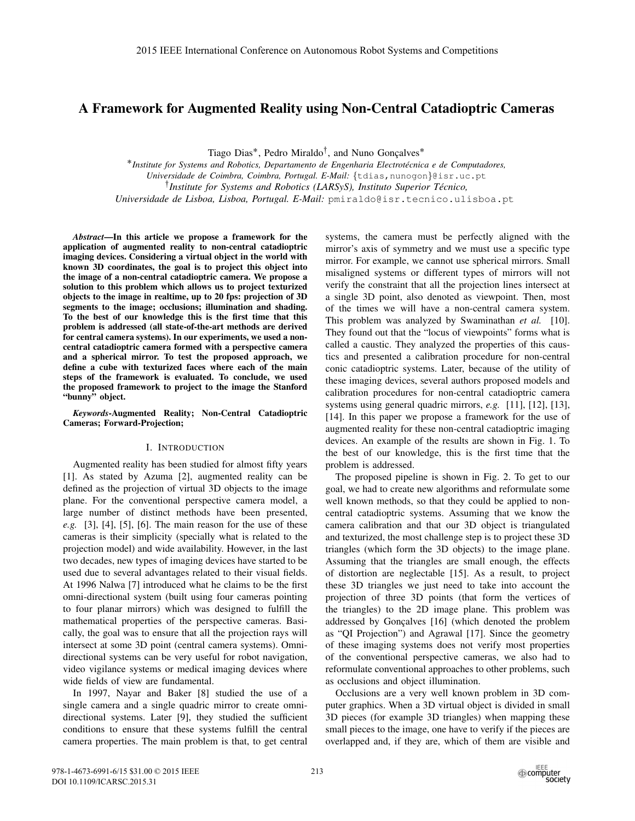# A Framework for Augmented Reality using Non-Central Catadioptric Cameras

Tiago Dias<sup>\*</sup>, Pedro Miraldo<sup>†</sup>, and Nuno Goncalves<sup>\*</sup>

˚*Institute for Systems and Robotics, Departamento de Engenharia Electrotecnica e de Computadores, ´ Universidade de Coimbra, Coimbra, Portugal. E-Mail:* {tdias,nunogon}@isr.uc.pt :*Institute for Systems and Robotics (LARSyS), Instituto Superior Tecnico, ´*

*Universidade de Lisboa, Lisboa, Portugal. E-Mail:* pmiraldo@isr.tecnico.ulisboa.pt

*Abstract*—In this article we propose a framework for the application of augmented reality to non-central catadioptric imaging devices. Considering a virtual object in the world with known 3D coordinates, the goal is to project this object into the image of a non-central catadioptric camera. We propose a solution to this problem which allows us to project texturized objects to the image in realtime, up to 20 fps: projection of 3D segments to the image; occlusions; illumination and shading. To the best of our knowledge this is the first time that this problem is addressed (all state-of-the-art methods are derived for central camera systems). In our experiments, we used a noncentral catadioptric camera formed with a perspective camera and a spherical mirror. To test the proposed approach, we define a cube with texturized faces where each of the main steps of the framework is evaluated. To conclude, we used the proposed framework to project to the image the Stanford "bunny" object.

*Keywords*-Augmented Reality; Non-Central Catadioptric Cameras; Forward-Projection;

# I. INTRODUCTION

Augmented reality has been studied for almost fifty years [1]. As stated by Azuma [2], augmented reality can be defined as the projection of virtual 3D objects to the image plane. For the conventional perspective camera model, a large number of distinct methods have been presented, *e.g.* [3], [4], [5], [6]. The main reason for the use of these cameras is their simplicity (specially what is related to the projection model) and wide availability. However, in the last two decades, new types of imaging devices have started to be used due to several advantages related to their visual fields. At 1996 Nalwa [7] introduced what he claims to be the first omni-directional system (built using four cameras pointing to four planar mirrors) which was designed to fulfill the mathematical properties of the perspective cameras. Basically, the goal was to ensure that all the projection rays will intersect at some 3D point (central camera systems). Omnidirectional systems can be very useful for robot navigation, video vigilance systems or medical imaging devices where wide fields of view are fundamental.

In 1997, Nayar and Baker [8] studied the use of a single camera and a single quadric mirror to create omnidirectional systems. Later [9], they studied the sufficient conditions to ensure that these systems fulfill the central camera properties. The main problem is that, to get central systems, the camera must be perfectly aligned with the mirror's axis of symmetry and we must use a specific type mirror. For example, we cannot use spherical mirrors. Small misaligned systems or different types of mirrors will not verify the constraint that all the projection lines intersect at a single 3D point, also denoted as viewpoint. Then, most of the times we will have a non-central camera system. This problem was analyzed by Swaminathan *et al.* [10]. They found out that the "locus of viewpoints" forms what is called a caustic. They analyzed the properties of this caustics and presented a calibration procedure for non-central conic catadioptric systems. Later, because of the utility of these imaging devices, several authors proposed models and calibration procedures for non-central catadioptric camera systems using general quadric mirrors, *e.g.* [11], [12], [13], [14]. In this paper we propose a framework for the use of augmented reality for these non-central catadioptric imaging devices. An example of the results are shown in Fig. 1. To the best of our knowledge, this is the first time that the problem is addressed.

The proposed pipeline is shown in Fig. 2. To get to our goal, we had to create new algorithms and reformulate some well known methods, so that they could be applied to noncentral catadioptric systems. Assuming that we know the camera calibration and that our 3D object is triangulated and texturized, the most challenge step is to project these 3D triangles (which form the 3D objects) to the image plane. Assuming that the triangles are small enough, the effects of distortion are neglectable [15]. As a result, to project these 3D triangles we just need to take into account the projection of three 3D points (that form the vertices of the triangles) to the 2D image plane. This problem was addressed by Gonçalves [16] (which denoted the problem as "QI Projection") and Agrawal [17]. Since the geometry of these imaging systems does not verify most properties of the conventional perspective cameras, we also had to reformulate conventional approaches to other problems, such as occlusions and object illumination.

Occlusions are a very well known problem in 3D computer graphics. When a 3D virtual object is divided in small 3D pieces (for example 3D triangles) when mapping these small pieces to the image, one have to verify if the pieces are overlapped and, if they are, which of them are visible and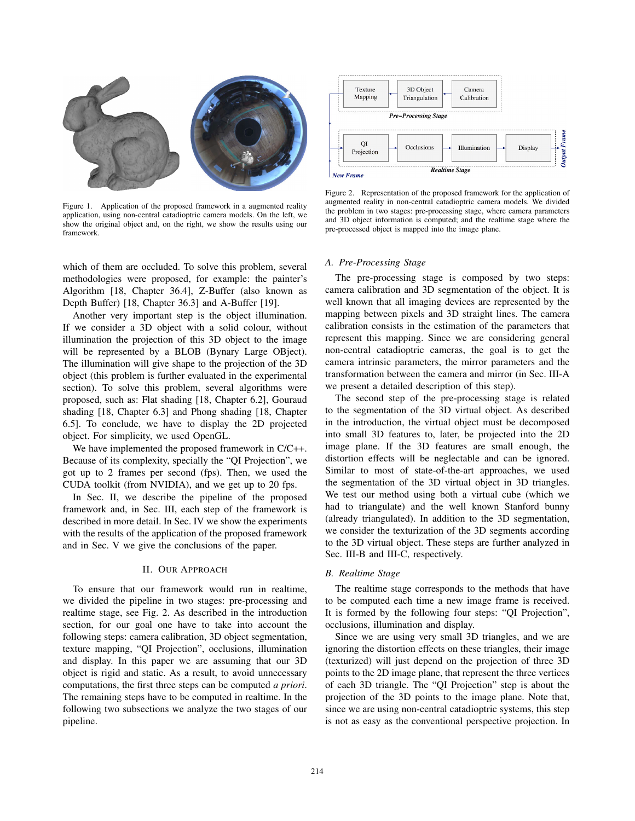

Figure 1. Application of the proposed framework in a augmented reality application, using non-central catadioptric camera models. On the left, we show the original object and, on the right, we show the results using our framework.

which of them are occluded. To solve this problem, several methodologies were proposed, for example: the painter's Algorithm [18, Chapter 36.4], Z-Buffer (also known as Depth Buffer) [18, Chapter 36.3] and A-Buffer [19].

Another very important step is the object illumination. If we consider a 3D object with a solid colour, without illumination the projection of this 3D object to the image will be represented by a BLOB (Bynary Large OBject). The illumination will give shape to the projection of the 3D object (this problem is further evaluated in the experimental section). To solve this problem, several algorithms were proposed, such as: Flat shading [18, Chapter 6.2], Gouraud shading [18, Chapter 6.3] and Phong shading [18, Chapter 6.5]. To conclude, we have to display the 2D projected object. For simplicity, we used OpenGL.

We have implemented the proposed framework in C/C++. Because of its complexity, specially the "QI Projection", we got up to 2 frames per second (fps). Then, we used the CUDA toolkit (from NVIDIA), and we get up to 20 fps.

In Sec. II, we describe the pipeline of the proposed framework and, in Sec. III, each step of the framework is described in more detail. In Sec. IV we show the experiments with the results of the application of the proposed framework and in Sec. V we give the conclusions of the paper.

## II. OUR APPROACH

To ensure that our framework would run in realtime, we divided the pipeline in two stages: pre-processing and realtime stage, see Fig. 2. As described in the introduction section, for our goal one have to take into account the following steps: camera calibration, 3D object segmentation, texture mapping, "QI Projection", occlusions, illumination and display. In this paper we are assuming that our 3D object is rigid and static. As a result, to avoid unnecessary computations, the first three steps can be computed *a priori*. The remaining steps have to be computed in realtime. In the following two subsections we analyze the two stages of our pipeline.



Figure 2. Representation of the proposed framework for the application of augmented reality in non-central catadioptric camera models. We divided the problem in two stages: pre-processing stage, where camera parameters and 3D object information is computed; and the realtime stage where the pre-processed object is mapped into the image plane.

## *A. Pre-Processing Stage*

The pre-processing stage is composed by two steps: camera calibration and 3D segmentation of the object. It is well known that all imaging devices are represented by the mapping between pixels and 3D straight lines. The camera calibration consists in the estimation of the parameters that represent this mapping. Since we are considering general non-central catadioptric cameras, the goal is to get the camera intrinsic parameters, the mirror parameters and the transformation between the camera and mirror (in Sec. III-A we present a detailed description of this step).

The second step of the pre-processing stage is related to the segmentation of the 3D virtual object. As described in the introduction, the virtual object must be decomposed into small 3D features to, later, be projected into the 2D image plane. If the 3D features are small enough, the distortion effects will be neglectable and can be ignored. Similar to most of state-of-the-art approaches, we used the segmentation of the 3D virtual object in 3D triangles. We test our method using both a virtual cube (which we had to triangulate) and the well known Stanford bunny (already triangulated). In addition to the 3D segmentation, we consider the texturization of the 3D segments according to the 3D virtual object. These steps are further analyzed in Sec. III-B and III-C, respectively.

#### *B. Realtime Stage*

The realtime stage corresponds to the methods that have to be computed each time a new image frame is received. It is formed by the following four steps: "QI Projection", occlusions, illumination and display.

Since we are using very small 3D triangles, and we are ignoring the distortion effects on these triangles, their image (texturized) will just depend on the projection of three 3D points to the 2D image plane, that represent the three vertices of each 3D triangle. The "QI Projection" step is about the projection of the 3D points to the image plane. Note that, since we are using non-central catadioptric systems, this step is not as easy as the conventional perspective projection. In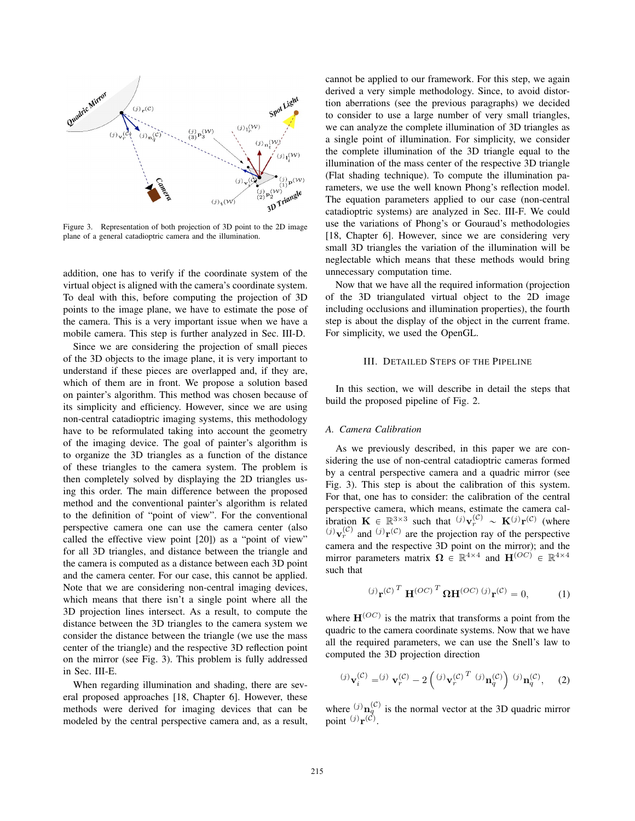

Figure 3. Representation of both projection of 3D point to the 2D image plane of a general catadioptric camera and the illumination.

addition, one has to verify if the coordinate system of the virtual object is aligned with the camera's coordinate system. To deal with this, before computing the projection of 3D points to the image plane, we have to estimate the pose of the camera. This is a very important issue when we have a mobile camera. This step is further analyzed in Sec. III-D.

Since we are considering the projection of small pieces of the 3D objects to the image plane, it is very important to understand if these pieces are overlapped and, if they are, which of them are in front. We propose a solution based on painter's algorithm. This method was chosen because of its simplicity and efficiency. However, since we are using non-central catadioptric imaging systems, this methodology have to be reformulated taking into account the geometry of the imaging device. The goal of painter's algorithm is to organize the 3D triangles as a function of the distance of these triangles to the camera system. The problem is then completely solved by displaying the 2D triangles using this order. The main difference between the proposed method and the conventional painter's algorithm is related to the definition of "point of view". For the conventional perspective camera one can use the camera center (also called the effective view point [20]) as a "point of view" for all 3D triangles, and distance between the triangle and the camera is computed as a distance between each 3D point and the camera center. For our case, this cannot be applied. Note that we are considering non-central imaging devices, which means that there isn't a single point where all the 3D projection lines intersect. As a result, to compute the distance between the 3D triangles to the camera system we consider the distance between the triangle (we use the mass center of the triangle) and the respective 3D reflection point on the mirror (see Fig. 3). This problem is fully addressed in Sec. III-E.

When regarding illumination and shading, there are several proposed approaches [18, Chapter 6]. However, these methods were derived for imaging devices that can be modeled by the central perspective camera and, as a result, cannot be applied to our framework. For this step, we again derived a very simple methodology. Since, to avoid distortion aberrations (see the previous paragraphs) we decided to consider to use a large number of very small triangles, we can analyze the complete illumination of 3D triangles as a single point of illumination. For simplicity, we consider the complete illumination of the 3D triangle equal to the illumination of the mass center of the respective 3D triangle (Flat shading technique). To compute the illumination parameters, we use the well known Phong's reflection model. The equation parameters applied to our case (non-central catadioptric systems) are analyzed in Sec. III-F. We could use the variations of Phong's or Gouraud's methodologies [18, Chapter 6]. However, since we are considering very small 3D triangles the variation of the illumination will be neglectable which means that these methods would bring unnecessary computation time.

Now that we have all the required information (projection of the 3D triangulated virtual object to the 2D image including occlusions and illumination properties), the fourth step is about the display of the object in the current frame. For simplicity, we used the OpenGL.

#### III. DETAILED STEPS OF THE PIPELINE

In this section, we will describe in detail the steps that build the proposed pipeline of Fig. 2.

#### *A. Camera Calibration*

As we previously described, in this paper we are considering the use of non-central catadioptric cameras formed by a central perspective camera and a quadric mirror (see Fig. 3). This step is about the calibration of this system. For that, one has to consider: the calibration of the central perspective camera, which means, estimate the camera calibration  $\mathbf{K} \in \mathbb{R}^{3 \times 3}$  such that  $^{(j)}\mathbf{v}_r^{(\mathcal{C})} \sim \mathbf{K}^{(j)}\mathbf{r}^{(\mathcal{C})}$  (where  $p(\theta)$ <sub>**v**r</sub><sup>(C)</sup> and  $p(\theta)$ <sup></sup> are the projection ray of the perspective camera and the respective 3D point on the mirror); and the mirror parameters matrix  $\Omega \in \mathbb{R}^{4 \times 4}$  and  $\mathbf{H}^{(OC)} \in \mathbb{R}^{4 \times 4}$ such that

$$
(j)\mathbf{r(\mathcal{C})T \mathbf{H}^{(OC)}T \mathbf{\Omega} \mathbf{H}^{(OC)} (j)\mathbf{r(\mathcal{C}) = 0,
$$
 (1)

where  $\mathbf{H}^{(OC)}$  is the matrix that transforms a point from the quadric to the camera coordinate systems. Now that we have all the required parameters, we can use the Snell's law to computed the 3D projection direction

$$
^{(j)}\mathbf{v}_i^{(\mathcal{C})} = ^{(j)}\mathbf{v}_r^{(\mathcal{C})} - 2\left({^{(j)}\mathbf{v}_r^{(\mathcal{C})}}^T {^{(j)}\mathbf{n}_q^{(\mathcal{C})}}\right){^{(j)}\mathbf{n}_q^{(\mathcal{C})}}, \quad (2)
$$

where  $(i)$ **n**<sub> $q$ </sub><sup>(*c*)</sup> is the normal vector at the 3D quadric mirror point  $(j)$ **r** $(\tilde{C})$ .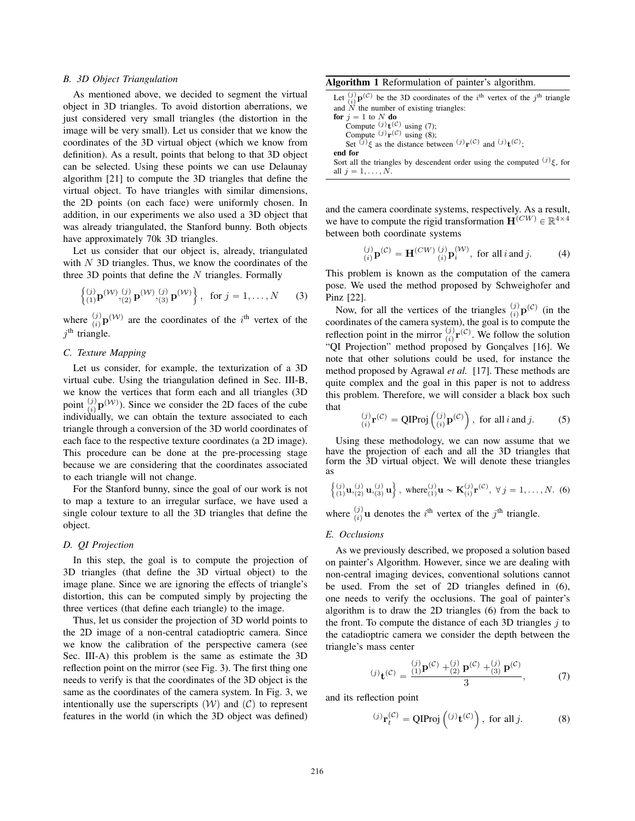## *B. 3D Object Triangulation*

As mentioned above, we decided to segment the virtual object in 3D triangles. To avoid distortion aberrations, we just considered very small triangles (the distortion in the image will be very small). Let us consider that we know the coordinates of the 3D virtual object (which we know from definition). As a result, points that belong to that 3D object can be selected. Using these points we can use Delaunay algorithm [21] to compute the 3D triangles that define the virtual object. To have triangles with similar dimensions, the 2D points (on each face) were uniformly chosen. In addition, in our experiments we also used a 3D object that was already triangulated, the Stanford bunny. Both objects have approximately 70k 3D triangles.

Let us consider that our object is, already, triangulated with  $N$  3D triangles. Thus, we know the coordinates of the three 3D points that define the  $N$  triangles. Formally

$$
\left\{ \begin{array}{ll} (j) \\ (1) \mathbf{p}^{(\mathcal{W})}, (2) \mathbf{p}^{(\mathcal{W})}, (3) \mathbf{p}^{(\mathcal{W})} \end{array} \right\}, \text{ for } j = 1, ..., N \qquad (3)
$$

where  $\binom{j}{i} \mathbf{p}^{(\mathcal{W})}$  are the coordinates of the i<sup>th</sup> vertex of the  $i<sup>th</sup>$  triangle.

## *C. Texture Mapping*

Let us consider, for example, the texturization of a 3D virtual cube. Using the triangulation defined in Sec. III-B, we know the vertices that form each and all triangles (3D point  $\binom{j}{i}$ **p**<sup>(*W*</sup>)). Since we consider the 2D faces of the cube individually, we can obtain the texture associated to each triangle through a conversion of the 3D world coordinates of each face to the respective texture coordinates (a 2D image). This procedure can be done at the pre-processing stage because we are considering that the coordinates associated to each triangle will not change.

For the Stanford bunny, since the goal of our work is not to map a texture to an irregular surface, we have used a single colour texture to all the 3D triangles that define the object.

## *D. QI Projection*

In this step, the goal is to compute the projection of 3D triangles (that define the 3D virtual object) to the image plane. Since we are ignoring the effects of triangle's distortion, this can be computed simply by projecting the three vertices (that define each triangle) to the image.

Thus, let us consider the projection of 3D world points to the 2D image of a non-central catadioptric camera. Since we know the calibration of the perspective camera (see Sec. III-A) this problem is the same as estimate the 3D reflection point on the mirror (see Fig. 3). The first thing one needs to verify is that the coordinates of the 3D object is the same as the coordinates of the camera system. In Fig. 3, we intentionally use the superscripts  $(W)$  and  $(C)$  to represent features in the world (in which the 3D object was defined)

Algorithm 1 Reformulation of painter's algorithm.

Let  $\binom{j}{i}$ **p**(C) be the 3D coordinates of the i<sup>th</sup> vertex of the j<sup>th</sup> triangle and  $N$  the number of existing triangles:

for  $j = 1$  to N do Compute  $(j)$ **t** $(C)$  using (7); Compute  $(j)$ **r** $(C)$  using  $(8)$ ; Set  $(j)$ <sub> $\xi$ </sub> as the distance between  $(j)$ <sub>**r**</sub> $(C)$  and  $(j)$ **t** $(C)$ **;** end for

Sort all the triangles by descendent order using the computed  $(j)\xi$ , for all  $j = 1, \ldots, N$ .

and the camera coordinate systems, respectively. As a result, we have to compute the rigid transformation  $\mathbf{H}^{(CW)} \in \mathbb{R}^{4 \times 4}$ between both coordinate systems

$$
\begin{array}{ll} (j)_{i} \mathbf{p}^{(C)} = \mathbf{H}^{(CW)} \begin{pmatrix} j \\ i \end{pmatrix} \mathbf{p}_{i}^{(W)}, \text{ for all } i \text{ and } j. \end{array} \tag{4}
$$

This problem is known as the computation of the camera pose. We used the method proposed by Schweighofer and Pinz [22].

Now, for all the vertices of the triangles  ${}_{(i)}^{(j)}\mathbf{p}^{(C)}$  (in the coordinates of the camera system), the goal is to compute the reflection point in the mirror  $\binom{j}{i}$ **r**<sup>(*C*</sup>). We follow the solution "QI Projection" method proposed by Gonçalves [16]. We note that other solutions could be used, for instance the method proposed by Agrawal *et al.* [17]. These methods are quite complex and the goal in this paper is not to address this problem. Therefore, we will consider a black box such that

$$
\binom{(j)}{(i)}\mathbf{r}^{(\mathcal{C})} = \mathbf{QIProj}\left(\binom{(j)}{(i)}\mathbf{p}^{(\mathcal{C})}\right), \text{ for all } i \text{ and } j.
$$
 (5)

Using these methodology, we can now assume that we have the projection of each and all the 3D triangles that form the 3D virtual object. We will denote these triangles as

$$
\begin{Bmatrix}\n(j) & \mathbf{u}, (j) \\
(1) & \mathbf{u}, (2) \\
(2) & \mathbf{u}, (3)\n\end{Bmatrix}, \text{ where } (j) \\
\mathbf{u} \sim \mathbf{K}_{(1)}^{(j)} \mathbf{r}^{(\mathcal{C})}, \forall j = 1, \dots, N. \tag{6}
$$

where  $\binom{j}{i}$ **u** denotes the *i*<sup>th</sup> vertex of the *j*<sup>th</sup> triangle.

#### *E. Occlusions*

As we previously described, we proposed a solution based on painter's Algorithm. However, since we are dealing with non-central imaging devices, conventional solutions cannot be used. From the set of 2D triangles defined in (6), one needs to verify the occlusions. The goal of painter's algorithm is to draw the 2D triangles (6) from the back to the front. To compute the distance of each 3D triangles  $i$  to the catadioptric camera we consider the depth between the triangle's mass center

$$
(j)_{\mathbf{t}}(\mathcal{C}) = \frac{\binom{(j)}{1}\mathbf{p}(\mathcal{C}) + \binom{(j)}{2}\mathbf{p}(\mathcal{C}) + \binom{(j)}{3}\mathbf{p}(\mathcal{C})}{3},\tag{7}
$$

and its reflection point

$$
^{(j)}\mathbf{r}_t^{(\mathcal{C})} = \mathbf{QIP} \text{roj}\left( ^{(j)}\mathbf{t}^{(\mathcal{C})} \right), \text{ for all } j. \tag{8}
$$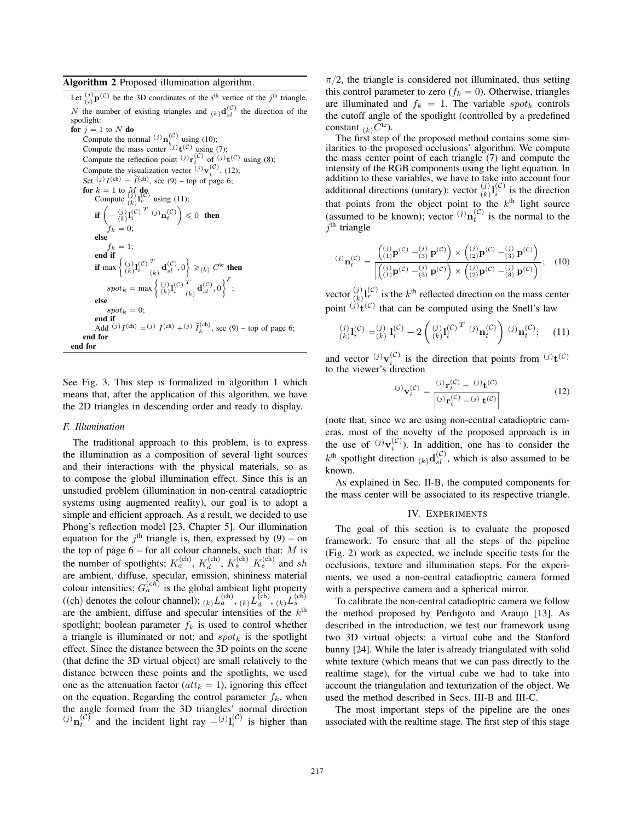## Algorithm 2 Proposed illumination algorithm.

Let  $\binom{j}{i}$ **p**(C) be the 3D coordinates of the i<sup>th</sup> vertice of the j<sup>th</sup> triangle, N the number of existing triangles and  $(k)$ **d** $\frac{d^{(C)}}{sl}$  the direction of the spotlight:

for  $j = 1$  to N do Compute the normal  $(j)$ **n**<sub>p</sub><sup>(C)</sup> using (10); Compute the mass center  $^{(j)}t^{(C)}$  using (7); Compute the reflection point <sup>(j)</sup>**r**<sub>t</sub><sup>(C)</sup> of <sup>(j)</sup>**t**<sub>(C)</sub> using (8); Compute the visualization vector  $(j)$ **v**<sub>i</sub> $(c)$ , (12); Set  $(i) I^{(ch)} = \tilde{I}^{(ch)}$ , see (9) – top of page 6; **for**  $k = 1$  to  $M$  **do**<br>Compute  $\begin{pmatrix} j \\ k \end{pmatrix}$ **L**<sub>(C)</sub><sup>(C)</sup> using (11); **if**  $\left(-\frac{(j)}{(k)}\mathbf{1}_{i}^{(\mathcal{C})^T}$   $\left(j\right)\mathbf{n}_{t}^{(\mathcal{C})}\right) \leq 0$  then  $\dot{f}_k = 0;$ else  $f_k = 1;$ end if if max  $\left\{\begin{array}{l} (j) \\ (k) \end{array}\right\}^{(\mathcal{C})}_{i}$ T  $\begin{Bmatrix} T \\ k \\ k \end{Bmatrix}$ **d** $\begin{Bmatrix} \mathcal{C}^1 \\ \mathcal{C}^k \end{Bmatrix}$   $\geq$   $(k)$   $C^{\text{te}}$  then  $spot_k = \max\left\{\begin{array}{l} (j) \\ (k) \end{array} \right\}^{(\mathcal{C})}_{i}$ T  $\left\{\begin{matrix} T\ \epsilon_k\end{matrix}\mathbf{d}^{(\mathcal{C})}_{sl},0\right\}^\mathcal{E};$ else  $spot_k = 0;$ end if Add  $(j) I^{(ch)} = (j) I^{(ch)} + (j) \tilde{I}_k^{(ch)}$ , see (9) – top of page 6; end for end for

See Fig. 3. This step is formalized in algorithm 1 which means that, after the application of this algorithm, we have the 2D triangles in descending order and ready to display.

## *F. Illumination*

The traditional approach to this problem, is to express the illumination as a composition of several light sources and their interactions with the physical materials, so as to compose the global illumination effect. Since this is an unstudied problem (illumination in non-central catadioptric systems using augmented reality), our goal is to adopt a simple and efficient approach. As a result, we decided to use Phong's reflection model [23, Chapter 5]. Our illumination equation for the  $j<sup>th</sup>$  triangle is, then, expressed by (9) – on the top of page  $6 -$  for all colour channels, such that: M is the number of spotlights;  $K_a^{(\text{ch})}$ ,  $K_d^{(\text{ch})}$ ,  $K_s^{(\text{ch})}$   $K_e^{(\text{ch})}$  and sh are ambient, diffuse, specular, emission, shininess material colour intensities;  $G_a^{(ch)}$  is the global ambient light property ((ch) denotes the colour channel);  $\chi_{(k)}L_a^{(ch)}$ ,  $\chi_{(k)}L_b^{(ch)}$ ,  $\chi_{(k)}L_s^{(ch)}$ are the ambient, diffuse and specular intensities of the  $k<sup>th</sup>$ spotlight; boolean parameter  $f_k$  is used to control whether a triangle is illuminated or not; and  $spot<sub>k</sub>$  is the spotlight effect. Since the distance between the 3D points on the scene (that define the 3D virtual object) are small relatively to the distance between these points and the spotlights, we used one as the attenuation factor ( $att_k = 1$ ), ignoring this effect on the equation. Regarding the control parameter  $f_k$ , when the angle formed from the 3D triangles' normal direction  $p_j(n)$  and the incident light ray  $p_j(n)$ <sup>(c)</sup> is higher than

 $\pi/2$ , the triangle is considered not illuminated, thus setting this control parameter to zero  $(f_k = 0)$ . Otherwise, triangles are illuminated and  $f_k = 1$ . The variable spot<sub>k</sub> controls the cutoff angle of the spotlight (controlled by a predefined constant  $_{(k)}C^{\text{te}}$ ).

The first step of the proposed method contains some similarities to the proposed occlusions' algorithm. We compute the mass center point of each triangle (7) and compute the intensity of the RGB components using the light equation. In addition to these variables, we have to take into account four additional directions (unitary): vector  $\frac{(j)}{k}$ **l** $\frac{(j)}{i}$  is the direction that points from the object point to the  $k<sup>th</sup>$  light source (assumed to be known); vector  $(j)$ **n**<sub>t</sub> $(c)$ </sub> is the normal to the  $j<sup>th</sup>$  triangle

$$
^{(j)}\mathbf{n}_{t}^{(\mathcal{C})} = \frac{\begin{pmatrix} (j) \\ (1)\mathbf{p}^{(\mathcal{C})} - (3) \\ (1)\mathbf{p}^{(\mathcal{C})} - (3) \end{pmatrix} \times \begin{pmatrix} (j) \\ (2)\mathbf{p}^{(\mathcal{C})} - (3) \\ (2)\mathbf{p}^{(\mathcal{C})} - (3) \end{pmatrix}}{\begin{pmatrix} (j) \\ (1)\mathbf{p}^{(\mathcal{C})} - (3) \\ (3)\mathbf{p}^{(\mathcal{C})} \end{pmatrix} \times \begin{pmatrix} (j) \\ (2)\mathbf{p}^{(\mathcal{C})} - (3) \\ (3)\mathbf{p}^{(\mathcal{C})} \end{pmatrix}};\tag{10}
$$

vector  $\binom{j}{k}$ **l** $\binom{C}{r}$  is the  $k$ <sup>th</sup> reflected direction on the mass center point  $\overrightarrow{f}(c)$  that can be computed using the Snell's law

$$
\binom{(j)}{k} \mathbf{l}_r^{(\mathcal{C})} = \binom{(j)}{k} \mathbf{l}_i^{(\mathcal{C})} - 2 \left( \binom{(j)}{k} \mathbf{l}_i^{(\mathcal{C})} \right)^T (j) \mathbf{n}_t^{(\mathcal{C})} \right) (j) \mathbf{n}_t^{(\mathcal{C})}; \quad (11)
$$

and vector <sup>(j)</sup>**v**<sub>i</sub><sup>(C)</sup> is the direction that points from <sup>(j)</sup>**t**<sup>(C)</sup> to the viewer's direction

$$
^{(j)}\mathbf{v}_i^{(\mathcal{C})} = \frac{{}^{(j)}\mathbf{r}_t^{(\mathcal{C})} - {}^{(j)}\mathbf{t}^{(\mathcal{C})}}{{}^{(j)}\mathbf{r}_t^{(\mathcal{C})} - {}^{(j)}\mathbf{t}^{(\mathcal{C})}}
$$
(12)

(note that, since we are using non-central catadioptric cameras, most of the novelty of the proposed approach is in the use of  $(j)$ **v**<sub>i</sub><sup>(C</sup>)</sub>. In addition, one has to consider the  $k^{\text{th}}$  spotlight direction  $_{(k)}\mathbf{d}_{sl}^{(\mathcal{C})}$ , which is also assumed to be known.

As explained in Sec. II-B, the computed components for the mass center will be associated to its respective triangle.

# IV. EXPERIMENTS

The goal of this section is to evaluate the proposed framework. To ensure that all the steps of the pipeline (Fig. 2) work as expected, we include specific tests for the occlusions, texture and illumination steps. For the experiments, we used a non-central catadioptric camera formed with a perspective camera and a spherical mirror.

To calibrate the non-central catadioptric camera we follow the method proposed by Perdigoto and Araujo [13]. As described in the introduction, we test our framework using two 3D virtual objects: a virtual cube and the Stanford bunny [24]. While the later is already triangulated with solid white texture (which means that we can pass directly to the realtime stage), for the virtual cube we had to take into account the triangulation and texturization of the object. We used the method described in Secs. III-B and III-C.

The most important steps of the pipeline are the ones associated with the realtime stage. The first step of this stage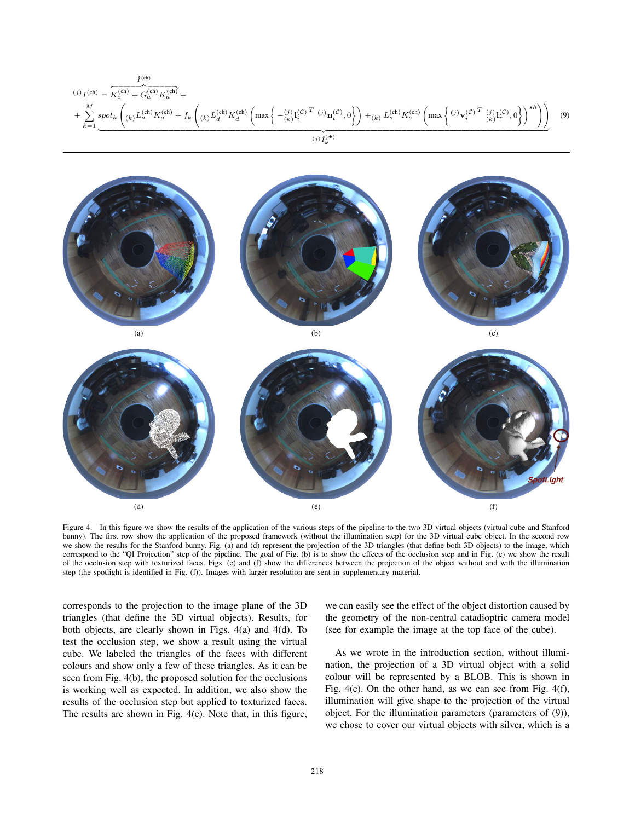$$
(j) \, I^{(\text{ch})} = \overbrace{K_e^{(\text{ch})} + G_a^{(\text{ch})} K_a^{(\text{ch})}}^{I^{(\text{ch})} + \overbrace{K_e^{(\text{ch})} K_a^{(\text{ch})} + f_k \left( k \right) L_d^{(\text{ch})} K_d^{(\text{ch})} K_d^{(\text{ch})} \left( \max \left\{ -\frac{(j) \, 1 \cdot (C^T \cdot (j) \, \mathbf{n}_t^{(C)}, 0 \right\} \right) + (k) \, L_s^{(\text{ch})} K_s^{(\text{ch})} \left( \max \left\{ \frac{(j) \, \mathbf{v}_t^{(C)} \cdot T \cdot (j) \, 1 \cdot (C^T \cdot (j) \cdot (C^T \cdot (j) \cdot (C^T \cdot (j) \cdot (C^T \cdot (j) \cdot (C^T \cdot (j) \cdot (C^T \cdot (j) \cdot (C^T \cdot (j) \cdot (C^T \cdot (j) \cdot (C^T \cdot (j) \cdot (C^T \cdot (j) \cdot (C^T \cdot (j) \cdot (C^T \cdot (j) \cdot (C^T \cdot (j) \cdot (C^T \cdot (j) \cdot (C^T \cdot (j) \cdot (C^T \cdot (j) \cdot (C^T \cdot (j) \cdot (C^T \cdot (j) \cdot (C^T \cdot (j) \cdot (C^T \cdot (j) \cdot (C^T \cdot (j) \cdot (C^T \cdot (j) \cdot (C^T \cdot (j) \cdot (C^T \cdot (j) \cdot (C^T \cdot (j) \cdot (C^T \cdot (j) \cdot (C^T \cdot (j) \cdot (C^T \cdot (j) \cdot (C^T \cdot (j) \cdot (C^T \cdot (j) \cdot (C^T \cdot (j) \cdot (C^T \cdot (j) \cdot (C^T \cdot (j) \cdot (C^T \cdot (j) \cdot (C^T \cdot (j) \cdot (C^T \cdot (j) \cdot (C^T \cdot (j) \cdot (C^T \cdot (j) \cdot (C^T \cdot (j) \cdot (C^T \cdot (j) \cdot (C^T \cdot (j) \cdot (C^T \cdot (j) \cdot (C^T \cdot (j) \cdot (C^T \cdot (j) \cdot (C^T \cdot (j) \cdot (C^T \cdot (j) \cdot (C^T \cdot (j) \cdot (C^T \cdot (j) \cdot (
$$



Figure 4. In this figure we show the results of the application of the various steps of the pipeline to the two 3D virtual objects (virtual cube and Stanford bunny). The first row show the application of the proposed framework (without the illumination step) for the 3D virtual cube object. In the second row we show the results for the Stanford bunny. Fig. (a) and (d) represent the projection of the 3D triangles (that define both 3D objects) to the image, which correspond to the "QI Projection" step of the pipeline. The goal of Fig. (b) is to show the effects of the occlusion step and in Fig. (c) we show the result of the occlusion step with texturized faces. Figs. (e) and (f) show the differences between the projection of the object without and with the illumination step (the spotlight is identified in Fig. (f)). Images with larger resolution are sent in supplementary material.

corresponds to the projection to the image plane of the 3D triangles (that define the 3D virtual objects). Results, for both objects, are clearly shown in Figs. 4(a) and 4(d). To test the occlusion step, we show a result using the virtual cube. We labeled the triangles of the faces with different colours and show only a few of these triangles. As it can be seen from Fig. 4(b), the proposed solution for the occlusions is working well as expected. In addition, we also show the results of the occlusion step but applied to texturized faces. The results are shown in Fig. 4(c). Note that, in this figure, we can easily see the effect of the object distortion caused by the geometry of the non-central catadioptric camera model (see for example the image at the top face of the cube).

As we wrote in the introduction section, without illumination, the projection of a 3D virtual object with a solid colour will be represented by a BLOB. This is shown in Fig. 4(e). On the other hand, as we can see from Fig. 4(f), illumination will give shape to the projection of the virtual object. For the illumination parameters (parameters of (9)), we chose to cover our virtual objects with silver, which is a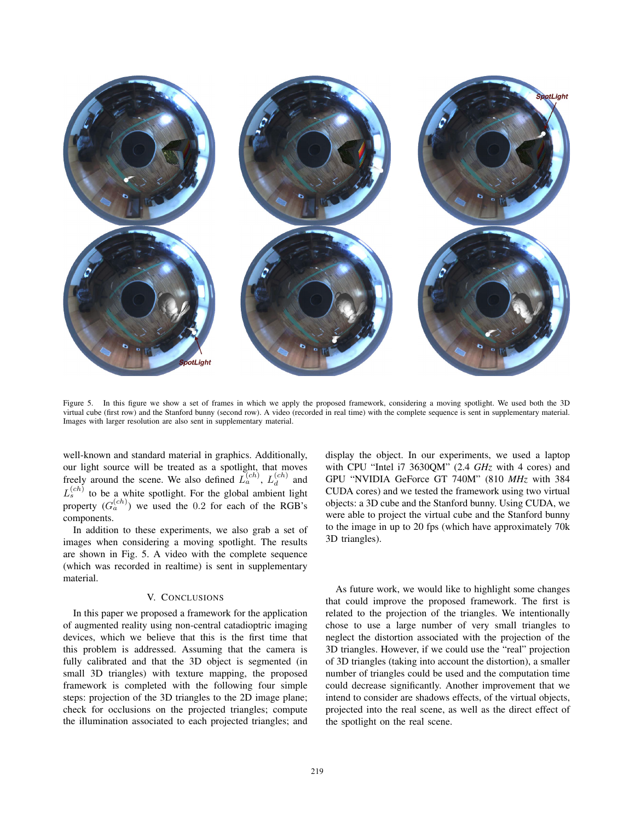

Figure 5. In this figure we show a set of frames in which we apply the proposed framework, considering a moving spotlight. We used both the 3D virtual cube (first row) and the Stanford bunny (second row). A video (recorded in real time) with the complete sequence is sent in supplementary material. Images with larger resolution are also sent in supplementary material.

well-known and standard material in graphics. Additionally, our light source will be treated as a spotlight, that moves freely around the scene. We also defined  $L_a^{(ch)}$ ,  $L_d^{(ch)}$  and  $L_s^{(ch)}$  to be a white spotlight. For the global ambient light property  $(G_a^{(ch)})$  we used the 0.2 for each of the RGB's components.

In addition to these experiments, we also grab a set of images when considering a moving spotlight. The results are shown in Fig. 5. A video with the complete sequence (which was recorded in realtime) is sent in supplementary material.

## V. CONCLUSIONS

In this paper we proposed a framework for the application of augmented reality using non-central catadioptric imaging devices, which we believe that this is the first time that this problem is addressed. Assuming that the camera is fully calibrated and that the 3D object is segmented (in small 3D triangles) with texture mapping, the proposed framework is completed with the following four simple steps: projection of the 3D triangles to the 2D image plane; check for occlusions on the projected triangles; compute the illumination associated to each projected triangles; and display the object. In our experiments, we used a laptop with CPU "Intel i7 3630QM" (2.4 *GHz* with 4 cores) and GPU "NVIDIA GeForce GT 740M" (810 *MHz* with 384 CUDA cores) and we tested the framework using two virtual objects: a 3D cube and the Stanford bunny. Using CUDA, we were able to project the virtual cube and the Stanford bunny to the image in up to 20 fps (which have approximately 70k 3D triangles).

As future work, we would like to highlight some changes that could improve the proposed framework. The first is related to the projection of the triangles. We intentionally chose to use a large number of very small triangles to neglect the distortion associated with the projection of the 3D triangles. However, if we could use the "real" projection of 3D triangles (taking into account the distortion), a smaller number of triangles could be used and the computation time could decrease significantly. Another improvement that we intend to consider are shadows effects, of the virtual objects, projected into the real scene, as well as the direct effect of the spotlight on the real scene.